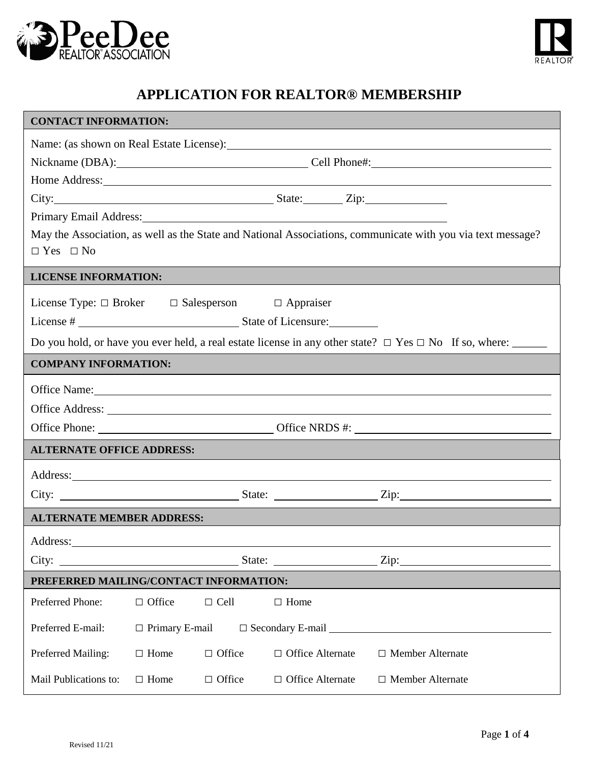



| <b>CONTACT INFORMATION:</b>                                                                                                                                                                                                          |                                                                     |               |                                                                                                                                                                                                                                     |                                                                                                                                                                                                                                |  |  |
|--------------------------------------------------------------------------------------------------------------------------------------------------------------------------------------------------------------------------------------|---------------------------------------------------------------------|---------------|-------------------------------------------------------------------------------------------------------------------------------------------------------------------------------------------------------------------------------------|--------------------------------------------------------------------------------------------------------------------------------------------------------------------------------------------------------------------------------|--|--|
| Name: (as shown on Real Estate License): Manual License and Allen and Allen and Allen and Allen and Allen and Allen and Allen and Allen and Allen and Allen and Allen and Allen and Allen and Allen and Allen and Allen and Al       |                                                                     |               |                                                                                                                                                                                                                                     |                                                                                                                                                                                                                                |  |  |
|                                                                                                                                                                                                                                      | Nickname (DBA): Cell Phone#: Cell Phone Communication Cell Phone 2. |               |                                                                                                                                                                                                                                     |                                                                                                                                                                                                                                |  |  |
|                                                                                                                                                                                                                                      |                                                                     |               |                                                                                                                                                                                                                                     | Home Address: No. 2016. The Contract of the Address of the Address of the Address of the Address of the Address of the Address of the Address of the Address of the Address of the Address of the Address of the Address of th |  |  |
|                                                                                                                                                                                                                                      |                                                                     |               | City: <u>City:</u> City: City: City: City: City: City: City: City: City: City: City: City: City: City: City: City: City: City: City: City: City: City: City: City: City: City: City: City: City: City: City: City: City: City: City |                                                                                                                                                                                                                                |  |  |
| <b>Primary Email Address:</b>                                                                                                                                                                                                        |                                                                     |               |                                                                                                                                                                                                                                     |                                                                                                                                                                                                                                |  |  |
| May the Association, as well as the State and National Associations, communicate with you via text message?<br>$\Box$ Yes $\Box$ No                                                                                                  |                                                                     |               |                                                                                                                                                                                                                                     |                                                                                                                                                                                                                                |  |  |
| <b>LICENSE INFORMATION:</b>                                                                                                                                                                                                          |                                                                     |               |                                                                                                                                                                                                                                     |                                                                                                                                                                                                                                |  |  |
| License Type: $\Box$ Broker $\Box$ Salesperson $\Box$ Appraiser                                                                                                                                                                      |                                                                     |               |                                                                                                                                                                                                                                     |                                                                                                                                                                                                                                |  |  |
|                                                                                                                                                                                                                                      |                                                                     |               |                                                                                                                                                                                                                                     |                                                                                                                                                                                                                                |  |  |
| Do you hold, or have you ever held, a real estate license in any other state? $\Box$ Yes $\Box$ No If so, where: ______                                                                                                              |                                                                     |               |                                                                                                                                                                                                                                     |                                                                                                                                                                                                                                |  |  |
| <b>COMPANY INFORMATION:</b>                                                                                                                                                                                                          |                                                                     |               |                                                                                                                                                                                                                                     |                                                                                                                                                                                                                                |  |  |
|                                                                                                                                                                                                                                      |                                                                     |               |                                                                                                                                                                                                                                     |                                                                                                                                                                                                                                |  |  |
|                                                                                                                                                                                                                                      |                                                                     |               |                                                                                                                                                                                                                                     |                                                                                                                                                                                                                                |  |  |
|                                                                                                                                                                                                                                      |                                                                     |               |                                                                                                                                                                                                                                     |                                                                                                                                                                                                                                |  |  |
| <b>ALTERNATE OFFICE ADDRESS:</b>                                                                                                                                                                                                     |                                                                     |               |                                                                                                                                                                                                                                     |                                                                                                                                                                                                                                |  |  |
| Address: <u>and the same of the same of the same of the same of the same of the same of the same of the same of the same of the same of the same of the same of the same of the same of the same of the same of the same of the </u> |                                                                     |               |                                                                                                                                                                                                                                     |                                                                                                                                                                                                                                |  |  |
|                                                                                                                                                                                                                                      |                                                                     |               |                                                                                                                                                                                                                                     |                                                                                                                                                                                                                                |  |  |
| <b>ALTERNATE MEMBER ADDRESS:</b>                                                                                                                                                                                                     |                                                                     |               |                                                                                                                                                                                                                                     |                                                                                                                                                                                                                                |  |  |
| Address:                                                                                                                                                                                                                             |                                                                     |               |                                                                                                                                                                                                                                     |                                                                                                                                                                                                                                |  |  |
| City:                                                                                                                                                                                                                                |                                                                     |               |                                                                                                                                                                                                                                     |                                                                                                                                                                                                                                |  |  |
| PREFERRED MAILING/CONTACT INFORMATION:                                                                                                                                                                                               |                                                                     |               |                                                                                                                                                                                                                                     |                                                                                                                                                                                                                                |  |  |
| Preferred Phone:                                                                                                                                                                                                                     | $\Box$ Office                                                       | $\Box$ Cell   | $\Box$ Home                                                                                                                                                                                                                         |                                                                                                                                                                                                                                |  |  |
| Preferred E-mail:                                                                                                                                                                                                                    | $\Box$ Primary E-mail<br>$\Box$ Secondary E-mail $\Box$             |               |                                                                                                                                                                                                                                     |                                                                                                                                                                                                                                |  |  |
| Preferred Mailing:                                                                                                                                                                                                                   | $\Box$ Home                                                         | $\Box$ Office | $\Box$ Office Alternate                                                                                                                                                                                                             | $\Box$ Member Alternate                                                                                                                                                                                                        |  |  |
| Mail Publications to:                                                                                                                                                                                                                | $\Box$ Home                                                         | $\Box$ Office | $\Box$ Office Alternate                                                                                                                                                                                                             | $\Box$ Member Alternate                                                                                                                                                                                                        |  |  |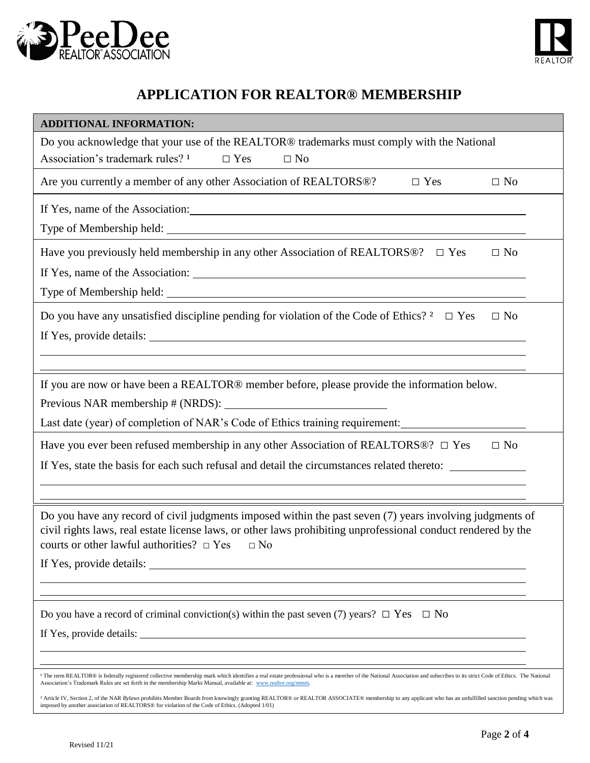



| <b>ADDITIONAL INFORMATION:</b>                                                                                                                                                                                                                                                                                                                        |  |  |  |  |  |
|-------------------------------------------------------------------------------------------------------------------------------------------------------------------------------------------------------------------------------------------------------------------------------------------------------------------------------------------------------|--|--|--|--|--|
| Do you acknowledge that your use of the REALTOR® trademarks must comply with the National                                                                                                                                                                                                                                                             |  |  |  |  |  |
| Association's trademark rules? <sup>1</sup><br>$\Box$ Yes<br>$\Box$ No                                                                                                                                                                                                                                                                                |  |  |  |  |  |
| Are you currently a member of any other Association of REALTORS®?<br>$\Box$ Yes<br>$\Box$ No                                                                                                                                                                                                                                                          |  |  |  |  |  |
| If Yes, name of the Association:                                                                                                                                                                                                                                                                                                                      |  |  |  |  |  |
|                                                                                                                                                                                                                                                                                                                                                       |  |  |  |  |  |
| Have you previously held membership in any other Association of REALTORS $@?$ $\square$ Yes<br>$\Box$ No                                                                                                                                                                                                                                              |  |  |  |  |  |
|                                                                                                                                                                                                                                                                                                                                                       |  |  |  |  |  |
|                                                                                                                                                                                                                                                                                                                                                       |  |  |  |  |  |
| Do you have any unsatisfied discipline pending for violation of the Code of Ethics? $2 \square Y$ es<br>$\Box$ No                                                                                                                                                                                                                                     |  |  |  |  |  |
| If Yes, provide details:                                                                                                                                                                                                                                                                                                                              |  |  |  |  |  |
|                                                                                                                                                                                                                                                                                                                                                       |  |  |  |  |  |
| If you are now or have been a REALTOR® member before, please provide the information below.                                                                                                                                                                                                                                                           |  |  |  |  |  |
|                                                                                                                                                                                                                                                                                                                                                       |  |  |  |  |  |
| Last date (year) of completion of NAR's Code of Ethics training requirement:                                                                                                                                                                                                                                                                          |  |  |  |  |  |
| Have you ever been refused membership in any other Association of REALTORS®? $\Box$ Yes<br>$\Box$ No                                                                                                                                                                                                                                                  |  |  |  |  |  |
| If Yes, state the basis for each such refusal and detail the circumstances related thereto:                                                                                                                                                                                                                                                           |  |  |  |  |  |
|                                                                                                                                                                                                                                                                                                                                                       |  |  |  |  |  |
| Do you have any record of civil judgments imposed within the past seven (7) years involving judgments of<br>civil rights laws, real estate license laws, or other laws prohibiting unprofessional conduct rendered by the<br>courts or other lawful authorities? $\Box$ Yes $\Box$ No                                                                 |  |  |  |  |  |
| If Yes, provide details:                                                                                                                                                                                                                                                                                                                              |  |  |  |  |  |
|                                                                                                                                                                                                                                                                                                                                                       |  |  |  |  |  |
| Do you have a record of criminal conviction(s) within the past seven (7) years? $\Box$ Yes $\Box$ No                                                                                                                                                                                                                                                  |  |  |  |  |  |
|                                                                                                                                                                                                                                                                                                                                                       |  |  |  |  |  |
|                                                                                                                                                                                                                                                                                                                                                       |  |  |  |  |  |
| <sup>1</sup> The term REALTOR® is federally registered collective membership mark which identifies a real estate professional who is a member of the National Association and subscribes to its strict Code of Ethics. The National<br>Association's Trademark Rules are set forth in the membership Marks Manual, available at: www.realtor.org/mmm. |  |  |  |  |  |
| <sup>2</sup> Article IV, Section 2, of the NAR Bylaws prohibits Member Boards from knowingly granting REALTOR® or REALTOR ASSOCIATE® membership to any applicant who has an unfulfilled sanction pending which was<br>imposed by another association of REALTORS® for violation of the Code of Ethics. (Adopted 1/01)                                 |  |  |  |  |  |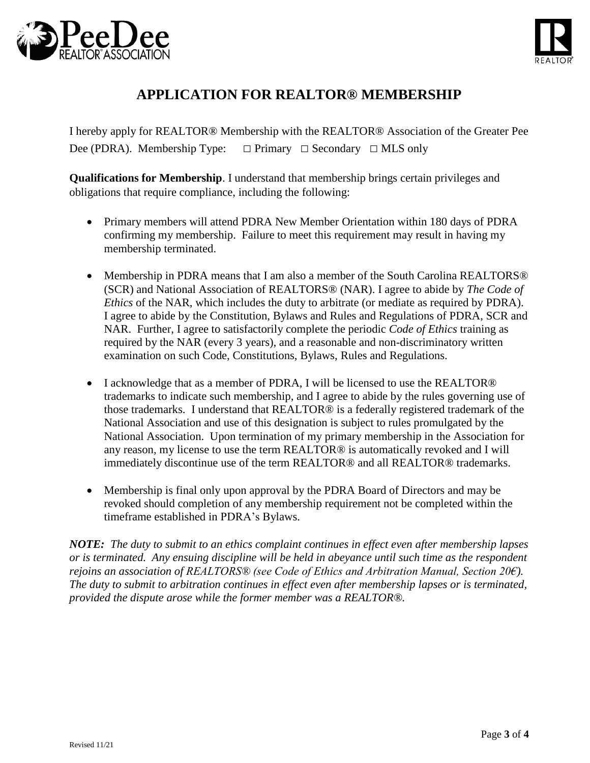



I hereby apply for REALTOR® Membership with the REALTOR® Association of the Greater Pee Dee (PDRA). Membership Type:  $\Box$  Primary  $\Box$  Secondary  $\Box$  MLS only

**Qualifications for Membership**. I understand that membership brings certain privileges and obligations that require compliance, including the following:

- Primary members will attend PDRA New Member Orientation within 180 days of PDRA confirming my membership. Failure to meet this requirement may result in having my membership terminated.
- Membership in PDRA means that I am also a member of the South Carolina REALTORS® (SCR) and National Association of REALTORS® (NAR). I agree to abide by *The Code of Ethics* of the NAR, which includes the duty to arbitrate (or mediate as required by PDRA). I agree to abide by the Constitution, Bylaws and Rules and Regulations of PDRA, SCR and NAR. Further, I agree to satisfactorily complete the periodic *Code of Ethics* training as required by the NAR (every 3 years), and a reasonable and non-discriminatory written examination on such Code, Constitutions, Bylaws, Rules and Regulations.
- I acknowledge that as a member of PDRA, I will be licensed to use the REALTOR® trademarks to indicate such membership, and I agree to abide by the rules governing use of those trademarks. I understand that REALTOR® is a federally registered trademark of the National Association and use of this designation is subject to rules promulgated by the National Association. Upon termination of my primary membership in the Association for any reason, my license to use the term REALTOR® is automatically revoked and I will immediately discontinue use of the term REALTOR® and all REALTOR® trademarks.
- Membership is final only upon approval by the PDRA Board of Directors and may be revoked should completion of any membership requirement not be completed within the timeframe established in PDRA's Bylaws.

*NOTE: The duty to submit to an ethics complaint continues in effect even after membership lapses or is terminated. Any ensuing discipline will be held in abeyance until such time as the respondent rejoins an association of REALTORS® (see Code of Ethics and Arbitration Manual, Section 20€). The duty to submit to arbitration continues in effect even after membership lapses or is terminated, provided the dispute arose while the former member was a REALTOR®.*